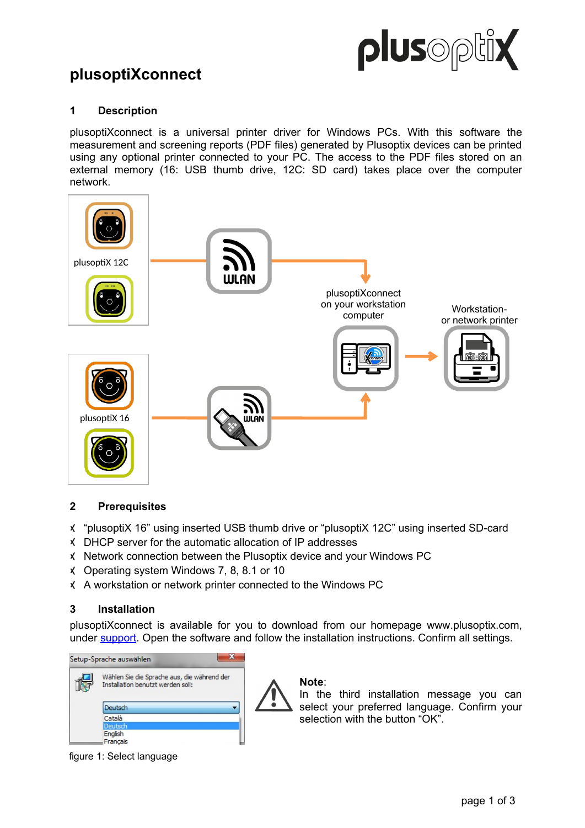

# **plusoptiXconnect**

# **1 Description**

plusoptiXconnect is a universal printer driver for Windows PCs. With this software the measurement and screening reports (PDF files) generated by Plusoptix devices can be printed using any optional printer connected to your PC. The access to the PDF files stored on an external memory (16: USB thumb drive, 12C: SD card) takes place over the computer network.



## **2 Prerequisites**

- "plusoptiX 16" using inserted USB thumb drive or "plusoptiX 12C" using inserted SD-card
- DHCP server for the automatic allocation of IP addresses
- Network connection between the Plusoptix device and your Windows PC
- Operating system Windows 7, 8, 8.1 or 10
- A workstation or network printer connected to the Windows PC

## **3 Installation**

plusoptiXconnect is available for you to download from our homepage www.plusoptix.com, under [support.](https://plusoptix.com/support) Open the software and follow the installation instructions. Confirm all settings.

| Setup-Sprache auswählen                                                          |  |
|----------------------------------------------------------------------------------|--|
| Wählen Sie die Sprache aus, die während der<br>Installation benutzt werden soll: |  |
| Deutsch                                                                          |  |
| Català                                                                           |  |
| Deutsch                                                                          |  |
| English                                                                          |  |
| Français                                                                         |  |

**Note**:

In the third installation message you can select your preferred language. Confirm your selection with the button "OK".

figure 1: Select language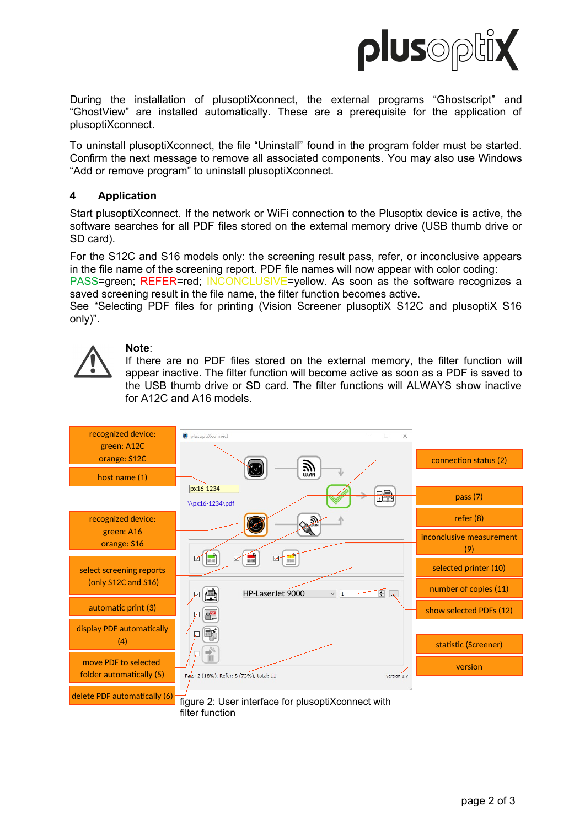

During the installation of plusoptiXconnect, the external programs "Ghostscript" and "GhostView" are installed automatically. These are a prerequisite for the application of plusoptiXconnect.

To uninstall plusoptiXconnect, the file "Uninstall" found in the program folder must be started. Confirm the next message to remove all associated components. You may also use Windows "Add or remove program" to uninstall plusoptiXconnect.

## **4 Application**

Start plusoptiXconnect. If the network or WiFi connection to the Plusoptix device is active, the software searches for all PDF files stored on the external memory drive (USB thumb drive or SD card).

For the S12C and S16 models only: the screening result pass, refer, or inconclusive appears in the file name of the screening report. PDF file names will now appear with color coding:

PASS=green; REFER=red; INCONCLUSIVE=yellow. As soon as the software recognizes a saved screening result in the file name, the filter function becomes active.

See "Selecting PDF files for printing (Vision Screener plusoptiX S12C and plusoptiX S16 only)".



## **Note**:

If there are no PDF files stored on the external memory, the filter function will appear inactive. The filter function will become active as soon as a PDF is saved to the USB thumb drive or SD card. The filter functions will ALWAYS show inactive for A12C and A16 models.